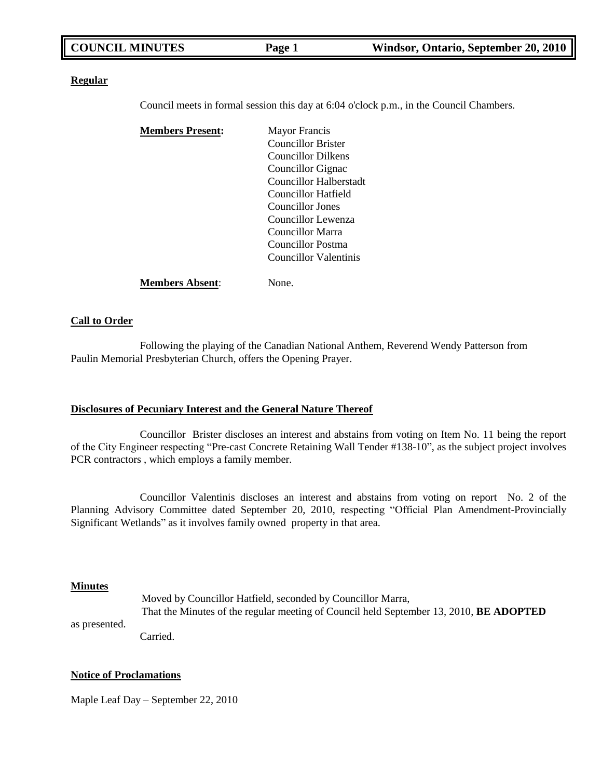#### **Regular**

Council meets in formal session this day at 6:04 o'clock p.m., in the Council Chambers.

| <b>Members Present:</b> | <b>Mayor Francis</b>      |
|-------------------------|---------------------------|
|                         | <b>Councillor Brister</b> |
|                         | <b>Councillor Dilkens</b> |
|                         | Councillor Gignac         |
|                         | Councillor Halberstadt    |
|                         | Councillor Hatfield       |
|                         | Councillor Jones          |
|                         | Councillor Lewenza        |
|                         | Councillor Marra          |
|                         | Councillor Postma         |
|                         | Councillor Valentinis     |
| <b>Members Absent:</b>  | None.                     |

### **Call to Order**

Following the playing of the Canadian National Anthem, Reverend Wendy Patterson from Paulin Memorial Presbyterian Church, offers the Opening Prayer.

#### **Disclosures of Pecuniary Interest and the General Nature Thereof**

Councillor Brister discloses an interest and abstains from voting on Item No. 11 being the report of the City Engineer respecting "Pre-cast Concrete Retaining Wall Tender #138-10", as the subject project involves PCR contractors , which employs a family member.

Councillor Valentinis discloses an interest and abstains from voting on report No. 2 of the Planning Advisory Committee dated September 20, 2010, respecting "Official Plan Amendment-Provincially Significant Wetlands" as it involves family owned property in that area.

#### **Minutes**

Moved by Councillor Hatfield, seconded by Councillor Marra, That the Minutes of the regular meeting of Council held September 13, 2010, **BE ADOPTED**

as presented.

Carried.

### **Notice of Proclamations**

Maple Leaf Day – September 22, 2010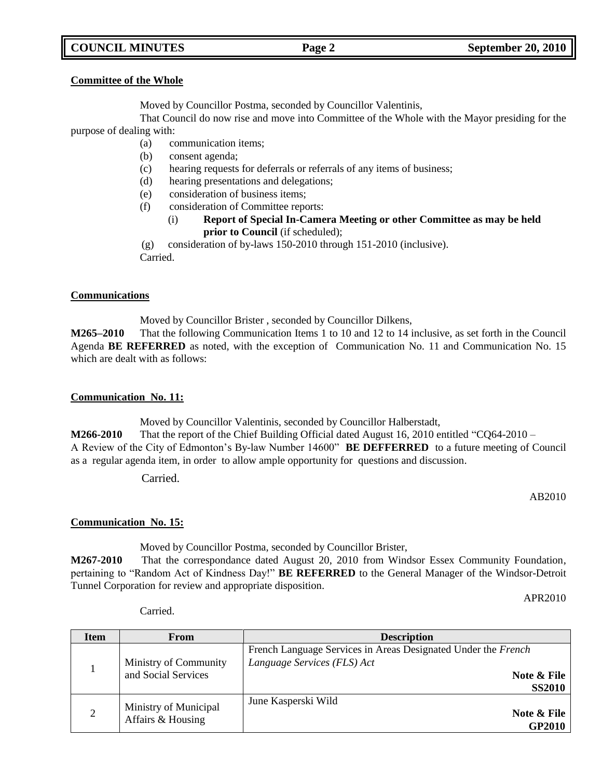# **COUNCIL MINUTES Page 2 September 20, 2010**

#### **Committee of the Whole**

Moved by Councillor Postma, seconded by Councillor Valentinis,

That Council do now rise and move into Committee of the Whole with the Mayor presiding for the purpose of dealing with:

- (a) communication items;
- (b) consent agenda;
- (c) hearing requests for deferrals or referrals of any items of business;
- (d) hearing presentations and delegations;
- (e) consideration of business items;
- (f) consideration of Committee reports:
	- (i) **Report of Special In-Camera Meeting or other Committee as may be held prior to Council** (if scheduled);

(g) consideration of by-laws 150-2010 through 151-2010 (inclusive). Carried.

#### **Communications**

Moved by Councillor Brister , seconded by Councillor Dilkens,

**M265–2010** That the following Communication Items 1 to 10 and 12 to 14 inclusive, as set forth in the Council Agenda **BE REFERRED** as noted, with the exception of Communication No. 11 and Communication No. 15 which are dealt with as follows:

#### **Communication No. 11:**

Moved by Councillor Valentinis, seconded by Councillor Halberstadt,

**M266-2010** That the report of the Chief Building Official dated August 16, 2010 entitled "CQ64-2010 – A Review of the City of Edmonton's By-law Number 14600" **BE DEFFERRED** to a future meeting of Council as a regular agenda item, in order to allow ample opportunity for questions and discussion.

Carried.

AB2010

# **Communication No. 15:**

Moved by Councillor Postma, seconded by Councillor Brister,

**M267-2010** That the correspondance dated August 20, 2010 from Windsor Essex Community Foundation, pertaining to "Random Act of Kindness Day!" **BE REFERRED** to the General Manager of the Windsor-Detroit Tunnel Corporation for review and appropriate disposition.

APR2010

**Item From From Example 1** 1 Ministry of Community and Social Services French Language Services in Areas Designated Under the *French Language Services (FLS) Act* **Note & File SS2010** 2 Ministry of Municipal Affairs & Housing June Kasperski Wild **Note & File GP2010**

Carried.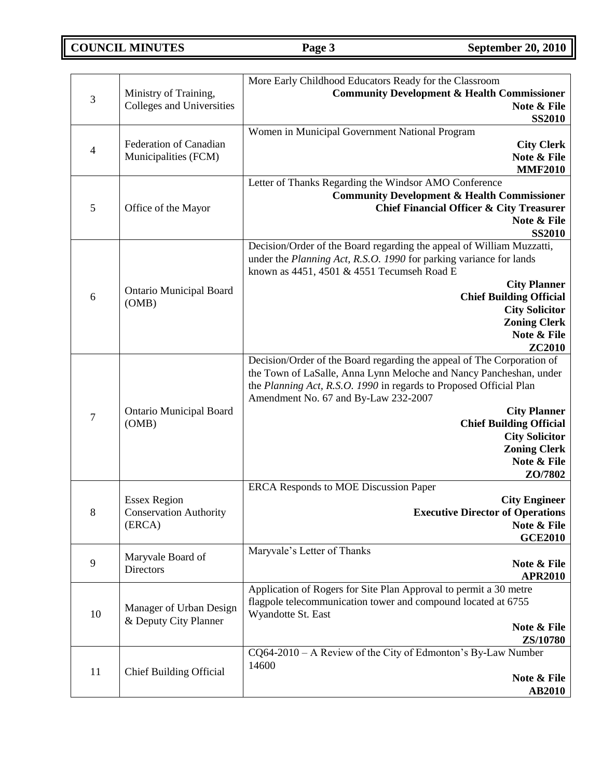**COUNCIL MINUTES Page 3 September 20, 2010** 

|                |                                                  | More Early Childhood Educators Ready for the Classroom                 |
|----------------|--------------------------------------------------|------------------------------------------------------------------------|
|                | Ministry of Training,                            | <b>Community Development &amp; Health Commissioner</b>                 |
| $\mathfrak{Z}$ | Colleges and Universities                        | Note & File                                                            |
|                |                                                  | <b>SS2010</b>                                                          |
|                |                                                  | Women in Municipal Government National Program                         |
| $\overline{4}$ | Federation of Canadian                           | <b>City Clerk</b>                                                      |
|                | Municipalities (FCM)                             | Note & File                                                            |
|                |                                                  | <b>MMF2010</b>                                                         |
|                |                                                  | Letter of Thanks Regarding the Windsor AMO Conference                  |
|                |                                                  | <b>Community Development &amp; Health Commissioner</b>                 |
| $\mathfrak s$  | Office of the Mayor                              | <b>Chief Financial Officer &amp; City Treasurer</b>                    |
|                |                                                  | Note & File                                                            |
|                |                                                  | <b>SS2010</b>                                                          |
|                |                                                  | Decision/Order of the Board regarding the appeal of William Muzzatti,  |
|                |                                                  | under the Planning Act, R.S.O. 1990 for parking variance for lands     |
|                |                                                  | known as $4451$ , $4501 \& 4551$ Tecumseh Road E                       |
|                | <b>Ontario Municipal Board</b>                   | <b>City Planner</b>                                                    |
| 6              | (OMB)                                            | <b>Chief Building Official</b>                                         |
|                |                                                  | <b>City Solicitor</b><br><b>Zoning Clerk</b>                           |
|                |                                                  | Note & File                                                            |
|                |                                                  | ZC2010                                                                 |
|                |                                                  | Decision/Order of the Board regarding the appeal of The Corporation of |
|                |                                                  | the Town of LaSalle, Anna Lynn Meloche and Nancy Pancheshan, under     |
|                |                                                  | the Planning Act, R.S.O. 1990 in regards to Proposed Official Plan     |
|                |                                                  | Amendment No. 67 and By-Law 232-2007                                   |
| $\tau$         | <b>Ontario Municipal Board</b>                   | <b>City Planner</b>                                                    |
|                | (OMB)                                            | <b>Chief Building Official</b>                                         |
|                |                                                  | <b>City Solicitor</b>                                                  |
|                |                                                  | <b>Zoning Clerk</b>                                                    |
|                |                                                  | Note & File                                                            |
|                |                                                  | ZO/7802                                                                |
|                |                                                  | ERCA Responds to MOE Discussion Paper                                  |
|                | <b>Essex Region</b>                              | <b>City Engineer</b>                                                   |
| 8              | <b>Conservation Authority</b>                    | <b>Executive Director of Operations</b>                                |
|                | (ERCA)                                           | Note & File<br><b>GCE2010</b>                                          |
|                |                                                  | Maryvale's Letter of Thanks                                            |
| 9              | Maryvale Board of                                | Note & File                                                            |
|                | <b>Directors</b>                                 | <b>APR2010</b>                                                         |
|                |                                                  | Application of Rogers for Site Plan Approval to permit a 30 metre      |
|                |                                                  | flagpole telecommunication tower and compound located at 6755          |
| 10             | Manager of Urban Design<br>& Deputy City Planner | Wyandotte St. East                                                     |
|                |                                                  | Note & File                                                            |
|                |                                                  | ZS/10780                                                               |
|                |                                                  | $CQ64-2010 - A$ Review of the City of Edmonton's By-Law Number         |
| 11             | <b>Chief Building Official</b>                   | 14600                                                                  |
|                |                                                  | Note & File                                                            |
|                |                                                  | <b>AB2010</b>                                                          |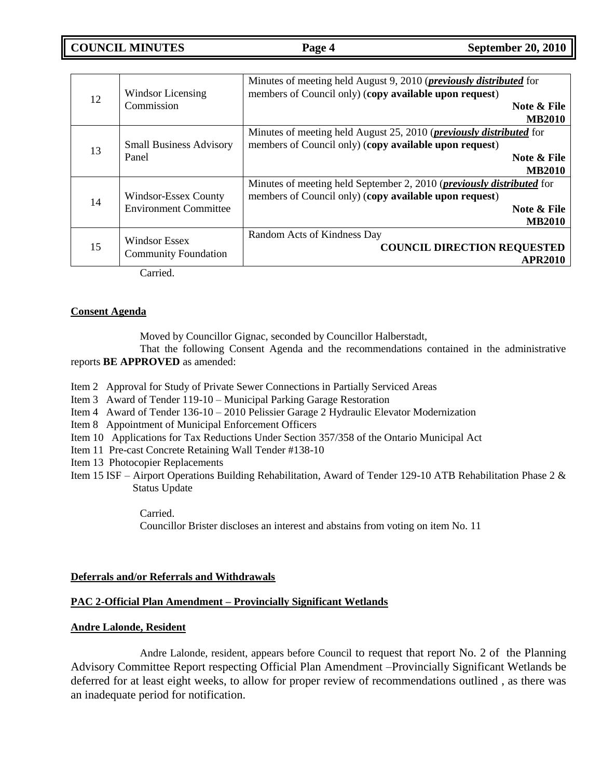**COUNCIL MINUTES Page 4 September 20, 2010** 

| 12 | <b>Windsor Licensing</b><br>Commission                                                           | Minutes of meeting held August 9, 2010 ( <i>previously distributed</i> for<br>members of Council only) (copy available upon request)<br>Note & File<br><b>MB2010</b>    |
|----|--------------------------------------------------------------------------------------------------|-------------------------------------------------------------------------------------------------------------------------------------------------------------------------|
| 13 | <b>Small Business Advisory</b><br>Panel                                                          | Minutes of meeting held August 25, 2010 ( <i>previously distributed</i> for<br>members of Council only) (copy available upon request)<br>Note & File<br><b>MB2010</b>   |
| 14 | <b>Windsor-Essex County</b><br><b>Environment Committee</b>                                      | Minutes of meeting held September 2, 2010 ( <i>previously distributed</i> for<br>members of Council only) (copy available upon request)<br>Note & File<br><b>MB2010</b> |
| 15 | Windsor Essex<br><b>Community Foundation</b><br>$\sim$ $\sim$ $\sim$ $\sim$ $\sim$ $\sim$ $\sim$ | Random Acts of Kindness Day<br><b>COUNCIL DIRECTION REQUESTED</b><br><b>APR2010</b>                                                                                     |

Carried.

# **Consent Agenda**

Moved by Councillor Gignac, seconded by Councillor Halberstadt,

That the following Consent Agenda and the recommendations contained in the administrative reports **BE APPROVED** as amended:

- Item 2 Approval for Study of Private Sewer Connections in Partially Serviced Areas
- Item 3 Award of Tender 119-10 Municipal Parking Garage Restoration
- Item 4 Award of Tender 136-10 2010 Pelissier Garage 2 Hydraulic Elevator Modernization
- Item 8 Appointment of Municipal Enforcement Officers
- Item 10 Applications for Tax Reductions Under Section 357/358 of the Ontario Municipal Act
- Item 11 Pre-cast Concrete Retaining Wall Tender #138-10
- Item 13 Photocopier Replacements
- Item 15 ISF Airport Operations Building Rehabilitation, Award of Tender 129-10 ATB Rehabilitation Phase 2 & Status Update

Carried.

Councillor Brister discloses an interest and abstains from voting on item No. 11

# **Deferrals and/or Referrals and Withdrawals**

# **PAC 2-Official Plan Amendment – Provincially Significant Wetlands**

# **Andre Lalonde, Resident**

Andre Lalonde, resident, appears before Council to request that report No. 2 of the Planning Advisory Committee Report respecting Official Plan Amendment –Provincially Significant Wetlands be deferred for at least eight weeks, to allow for proper review of recommendations outlined , as there was an inadequate period for notification.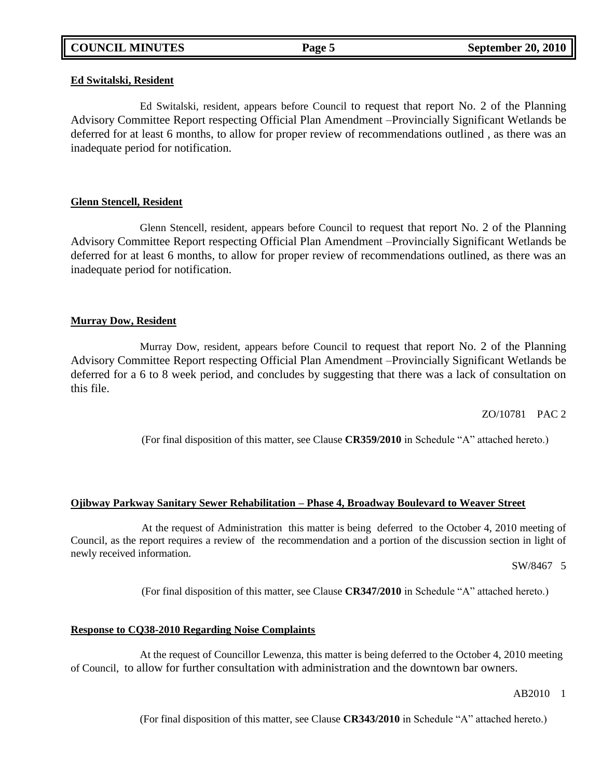### **Ed Switalski, Resident**

Ed Switalski, resident, appears before Council to request that report No. 2 of the Planning Advisory Committee Report respecting Official Plan Amendment –Provincially Significant Wetlands be deferred for at least 6 months, to allow for proper review of recommendations outlined , as there was an inadequate period for notification.

### **Glenn Stencell, Resident**

Glenn Stencell, resident, appears before Council to request that report No. 2 of the Planning Advisory Committee Report respecting Official Plan Amendment –Provincially Significant Wetlands be deferred for at least 6 months, to allow for proper review of recommendations outlined, as there was an inadequate period for notification.

### **Murray Dow, Resident**

Murray Dow, resident, appears before Council to request that report No. 2 of the Planning Advisory Committee Report respecting Official Plan Amendment –Provincially Significant Wetlands be deferred for a 6 to 8 week period, and concludes by suggesting that there was a lack of consultation on this file.

ZO/10781 PAC 2

(For final disposition of this matter, see Clause **CR359/2010** in Schedule "A" attached hereto.)

#### **Ojibway Parkway Sanitary Sewer Rehabilitation – Phase 4, Broadway Boulevard to Weaver Street**

At the request of Administration this matter is being deferred to the October 4, 2010 meeting of Council, as the report requires a review of the recommendation and a portion of the discussion section in light of newly received information.

SW/84675

(For final disposition of this matter, see Clause **CR347/2010** in Schedule "A" attached hereto.)

#### **Response to CQ38-2010 Regarding Noise Complaints**

At the request of Councillor Lewenza, this matter is being deferred to the October 4, 2010 meeting of Council, to allow for further consultation with administration and the downtown bar owners.

AB2010 1

(For final disposition of this matter, see Clause **CR343/2010** in Schedule "A" attached hereto.)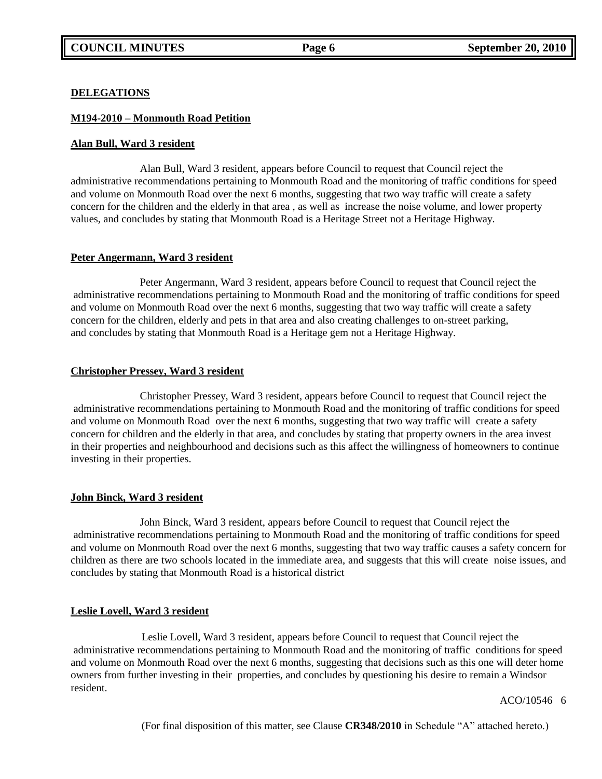#### **DELEGATIONS**

### **M194-2010 – Monmouth Road Petition**

#### **Alan Bull, Ward 3 resident**

Alan Bull, Ward 3 resident, appears before Council to request that Council reject the administrative recommendations pertaining to Monmouth Road and the monitoring of traffic conditions for speed and volume on Monmouth Road over the next 6 months, suggesting that two way traffic will create a safety concern for the children and the elderly in that area , as well as increase the noise volume, and lower property values, and concludes by stating that Monmouth Road is a Heritage Street not a Heritage Highway.

#### **Peter Angermann, Ward 3 resident**

Peter Angermann, Ward 3 resident, appears before Council to request that Council reject the administrative recommendations pertaining to Monmouth Road and the monitoring of traffic conditions for speed and volume on Monmouth Road over the next 6 months, suggesting that two way traffic will create a safety concern for the children, elderly and pets in that area and also creating challenges to on-street parking, and concludes by stating that Monmouth Road is a Heritage gem not a Heritage Highway.

### **Christopher Pressey, Ward 3 resident**

Christopher Pressey, Ward 3 resident, appears before Council to request that Council reject the administrative recommendations pertaining to Monmouth Road and the monitoring of traffic conditions for speed and volume on Monmouth Road over the next 6 months, suggesting that two way traffic will create a safety concern for children and the elderly in that area, and concludes by stating that property owners in the area invest in their properties and neighbourhood and decisions such as this affect the willingness of homeowners to continue investing in their properties.

# **John Binck, Ward 3 resident**

John Binck, Ward 3 resident, appears before Council to request that Council reject the administrative recommendations pertaining to Monmouth Road and the monitoring of traffic conditions for speed and volume on Monmouth Road over the next 6 months, suggesting that two way traffic causes a safety concern for children as there are two schools located in the immediate area, and suggests that this will create noise issues, and concludes by stating that Monmouth Road is a historical district

# **Leslie Lovell, Ward 3 resident**

Leslie Lovell, Ward 3 resident, appears before Council to request that Council reject the administrative recommendations pertaining to Monmouth Road and the monitoring of traffic conditions for speed and volume on Monmouth Road over the next 6 months, suggesting that decisions such as this one will deter home owners from further investing in their properties, and concludes by questioning his desire to remain a Windsor resident.

ACO/10546 6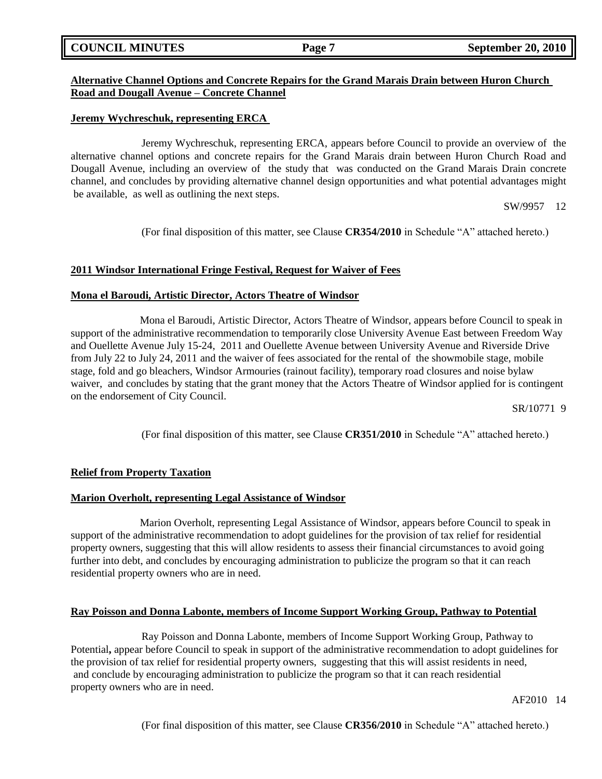# **COUNCIL MINUTES Page 7 September 20, 2010**

# **Alternative Channel Options and Concrete Repairs for the Grand Marais Drain between Huron Church Road and Dougall Avenue – Concrete Channel**

### **Jeremy Wychreschuk, representing ERCA**

Jeremy Wychreschuk, representing ERCA, appears before Council to provide an overview of the alternative channel options and concrete repairs for the Grand Marais drain between Huron Church Road and Dougall Avenue, including an overview of the study that was conducted on the Grand Marais Drain concrete channel, and concludes by providing alternative channel design opportunities and what potential advantages might be available, as well as outlining the next steps.

SW/995712

(For final disposition of this matter, see Clause **CR354/2010** in Schedule "A" attached hereto.)

### **2011 Windsor International Fringe Festival, Request for Waiver of Fees**

### **Mona el Baroudi, Artistic Director, Actors Theatre of Windsor**

Mona el Baroudi, Artistic Director, Actors Theatre of Windsor, appears before Council to speak in support of the administrative recommendation to temporarily close University Avenue East between Freedom Way and Ouellette Avenue July 15-24, 2011 and Ouellette Avenue between University Avenue and Riverside Drive from July 22 to July 24, 2011 and the waiver of fees associated for the rental of the showmobile stage, mobile stage, fold and go bleachers, Windsor Armouries (rainout facility), temporary road closures and noise bylaw waiver, and concludes by stating that the grant money that the Actors Theatre of Windsor applied for is contingent on the endorsement of City Council.

SR/10771 9

(For final disposition of this matter, see Clause **CR351/2010** in Schedule "A" attached hereto.)

# **Relief from Property Taxation**

# **Marion Overholt, representing Legal Assistance of Windsor**

Marion Overholt, representing Legal Assistance of Windsor, appears before Council to speak in support of the administrative recommendation to adopt guidelines for the provision of tax relief for residential property owners, suggesting that this will allow residents to assess their financial circumstances to avoid going further into debt, and concludes by encouraging administration to publicize the program so that it can reach residential property owners who are in need.

# **Ray Poisson and Donna Labonte, members of Income Support Working Group, Pathway to Potential**

Ray Poisson and Donna Labonte, members of Income Support Working Group, Pathway to Potential**,** appear before Council to speak in support of the administrative recommendation to adopt guidelines for the provision of tax relief for residential property owners, suggesting that this will assist residents in need, and conclude by encouraging administration to publicize the program so that it can reach residential property owners who are in need.

AF201014

(For final disposition of this matter, see Clause **CR356/2010** in Schedule "A" attached hereto.)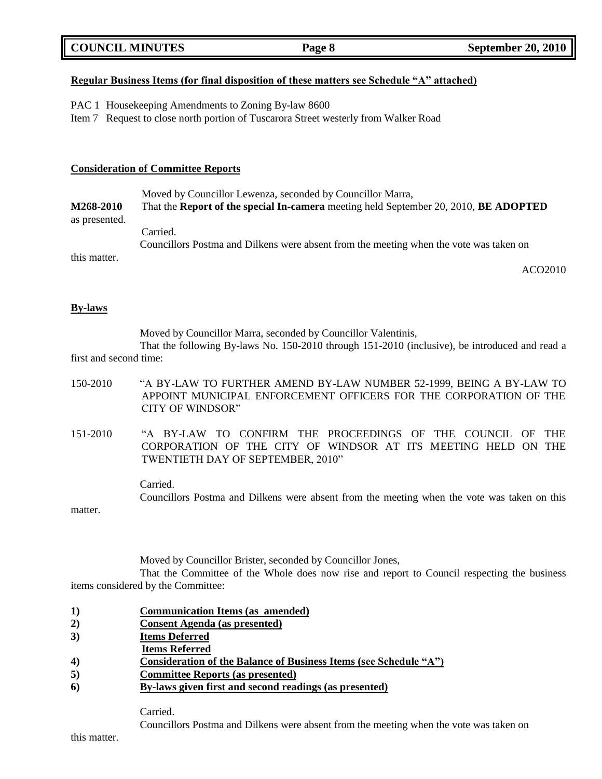| <b>COUNCIL MINUTES</b> | Page 8 | <b>September 20, 2010</b> |
|------------------------|--------|---------------------------|
|                        |        |                           |

### **Regular Business Items (for final disposition of these matters see Schedule "A" attached)**

PAC 1 Housekeeping Amendments to Zoning By-law 8600

Item 7 Request to close north portion of Tuscarora Street westerly from Walker Road

#### **Consideration of Committee Reports**

|               | Moved by Councillor Lewenza, seconded by Councillor Marra,                             |
|---------------|----------------------------------------------------------------------------------------|
| M268-2010     | That the Report of the special In-camera meeting held September 20, 2010, BE ADOPTED   |
| as presented. |                                                                                        |
|               | Carried.                                                                               |
|               | Councillors Postma and Dilkens were absent from the meeting when the vote was taken on |
| this matter.  |                                                                                        |

ACO2010

#### **By-laws**

Moved by Councillor Marra, seconded by Councillor Valentinis,

That the following By-laws No. 150-2010 through 151-2010 (inclusive), be introduced and read a first and second time:

| 150-2010 | "A BY-LAW TO FURTHER AMEND BY-LAW NUMBER 52-1999, BEING A BY-LAW TO<br>APPOINT MUNICIPAL ENFORCEMENT OFFICERS FOR THE CORPORATION OF THE<br>CITY OF WINDSOR"               |
|----------|----------------------------------------------------------------------------------------------------------------------------------------------------------------------------|
| 151-2010 | "A BY-LAW TO CONFIRM THE PROCEEDINGS OF THE COUNCIL OF<br><b>THE</b><br>CORPORATION OF THE CITY OF WINDSOR AT ITS MEETING HELD ON THE<br>TWENTIETH DAY OF SEPTEMBER, 2010" |
| matter.  | Carried.<br>Councillors Postma and Dilkens were absent from the meeting when the vote was taken on this                                                                    |

Moved by Councillor Brister, seconded by Councillor Jones,

That the Committee of the Whole does now rise and report to Council respecting the business items considered by the Committee:

- **1) Communication Items (as amended)**
- **2) Consent Agenda (as presented)**
- **3) Items Deferred**
- **Items Referred**
- **4) Consideration of the Balance of Business Items (see Schedule "A")**
- **5) Committee Reports (as presented)**
- **6) By-laws given first and second readings (as presented)**

Carried.

Councillors Postma and Dilkens were absent from the meeting when the vote was taken on

this matter.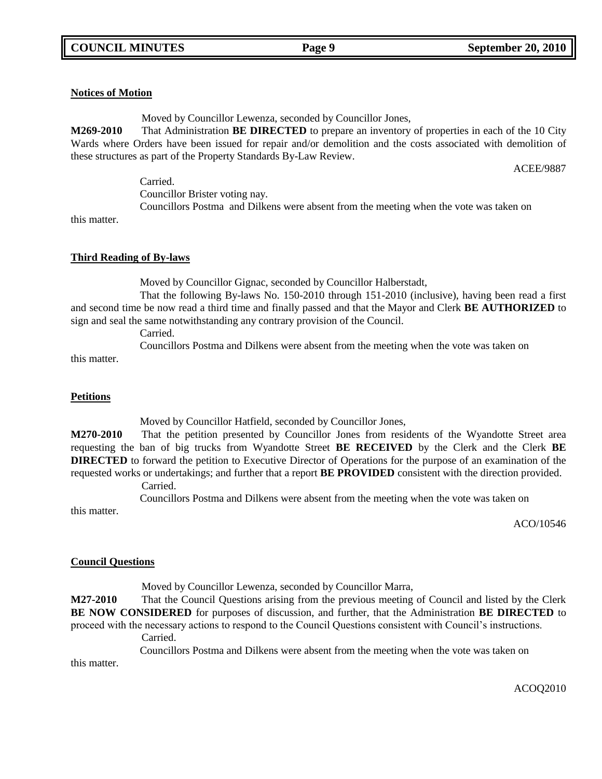### **Notices of Motion**

Moved by Councillor Lewenza, seconded by Councillor Jones,

**M269-2010** That Administration **BE DIRECTED** to prepare an inventory of properties in each of the 10 City Wards where Orders have been issued for repair and/or demolition and the costs associated with demolition of these structures as part of the Property Standards By-Law Review.

ACEE/9887

Carried. Councillor Brister voting nay. Councillors Postma and Dilkens were absent from the meeting when the vote was taken on

this matter.

### **Third Reading of By-laws**

Moved by Councillor Gignac, seconded by Councillor Halberstadt,

That the following By-laws No. 150-2010 through 151-2010 (inclusive), having been read a first and second time be now read a third time and finally passed and that the Mayor and Clerk **BE AUTHORIZED** to sign and seal the same notwithstanding any contrary provision of the Council.

Carried.

Councillors Postma and Dilkens were absent from the meeting when the vote was taken on

this matter.

#### **Petitions**

this matter.

Moved by Councillor Hatfield, seconded by Councillor Jones,

**M270-2010** That the petition presented by Councillor Jones from residents of the Wyandotte Street area requesting the ban of big trucks from Wyandotte Street **BE RECEIVED** by the Clerk and the Clerk **BE DIRECTED** to forward the petition to Executive Director of Operations for the purpose of an examination of the requested works or undertakings; and further that a report **BE PROVIDED** consistent with the direction provided.

Carried.

Councillors Postma and Dilkens were absent from the meeting when the vote was taken on

ACO/10546

# **Council Questions**

Moved by Councillor Lewenza, seconded by Councillor Marra,

**M27-2010** That the Council Questions arising from the previous meeting of Council and listed by the Clerk **BE NOW CONSIDERED** for purposes of discussion, and further, that the Administration **BE DIRECTED** to proceed with the necessary actions to respond to the Council Questions consistent with Council's instructions.

Carried.

Councillors Postma and Dilkens were absent from the meeting when the vote was taken on

this matter.

ACOQ2010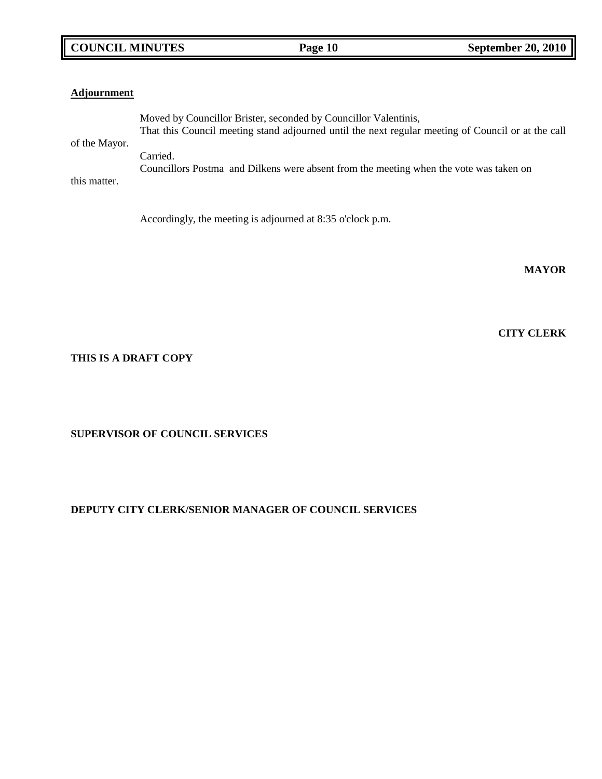# **COUNCIL MINUTES Page 10 September 20, 2010**

| <b>Adjournment</b> |                                                                                                    |
|--------------------|----------------------------------------------------------------------------------------------------|
|                    | Moved by Councillor Brister, seconded by Councillor Valentinis,                                    |
|                    | That this Council meeting stand adjourned until the next regular meeting of Council or at the call |
| of the Mayor.      |                                                                                                    |
|                    | Carried.                                                                                           |
|                    | Councillors Postma and Dilkens were absent from the meeting when the vote was taken on             |
| this matter.       |                                                                                                    |
|                    |                                                                                                    |

Accordingly, the meeting is adjourned at 8:35 o'clock p.m.

**MAYOR**

**CITY CLERK**

# **THIS IS A DRAFT COPY**

**SUPERVISOR OF COUNCIL SERVICES**

# **DEPUTY CITY CLERK/SENIOR MANAGER OF COUNCIL SERVICES**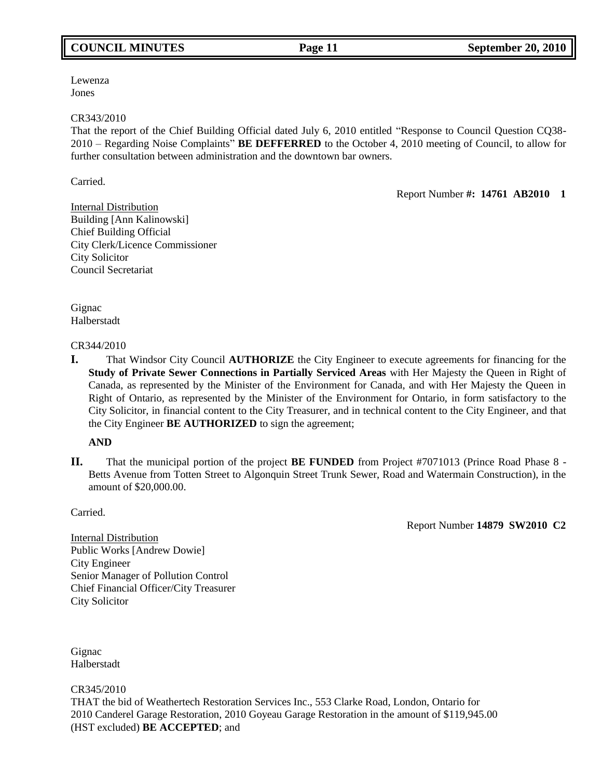# **COUNCIL MINUTES Page 11 September 20, 2010**

Lewenza Jones

### CR343/2010

That the report of the Chief Building Official dated July 6, 2010 entitled "Response to Council Question CQ38- 2010 – Regarding Noise Complaints" **BE DEFFERRED** to the October 4, 2010 meeting of Council, to allow for further consultation between administration and the downtown bar owners.

Carried.

Report Number **#: 14761 AB2010 1**

Internal Distribution Building [Ann Kalinowski] Chief Building Official City Clerk/Licence Commissioner City Solicitor Council Secretariat

Gignac Halberstadt

### CR344/2010

**I.** That Windsor City Council **AUTHORIZE** the City Engineer to execute agreements for financing for the **Study of Private Sewer Connections in Partially Serviced Areas** with Her Majesty the Queen in Right of Canada, as represented by the Minister of the Environment for Canada, and with Her Majesty the Queen in Right of Ontario, as represented by the Minister of the Environment for Ontario, in form satisfactory to the City Solicitor, in financial content to the City Treasurer, and in technical content to the City Engineer, and that the City Engineer **BE AUTHORIZED** to sign the agreement;

# **AND**

**II.** That the municipal portion of the project **BE FUNDED** from Project #7071013 (Prince Road Phase 8 - Betts Avenue from Totten Street to Algonquin Street Trunk Sewer, Road and Watermain Construction), in the amount of \$20,000.00.

**Carried** 

Report Number **14879 SW2010 C2**

Internal Distribution Public Works [Andrew Dowie] City Engineer Senior Manager of Pollution Control Chief Financial Officer/City Treasurer City Solicitor

Gignac Halberstadt

CR345/2010

THAT the bid of Weathertech Restoration Services Inc., 553 Clarke Road, London, Ontario for 2010 Canderel Garage Restoration, 2010 Goyeau Garage Restoration in the amount of \$119,945.00 (HST excluded) **BE ACCEPTED**; and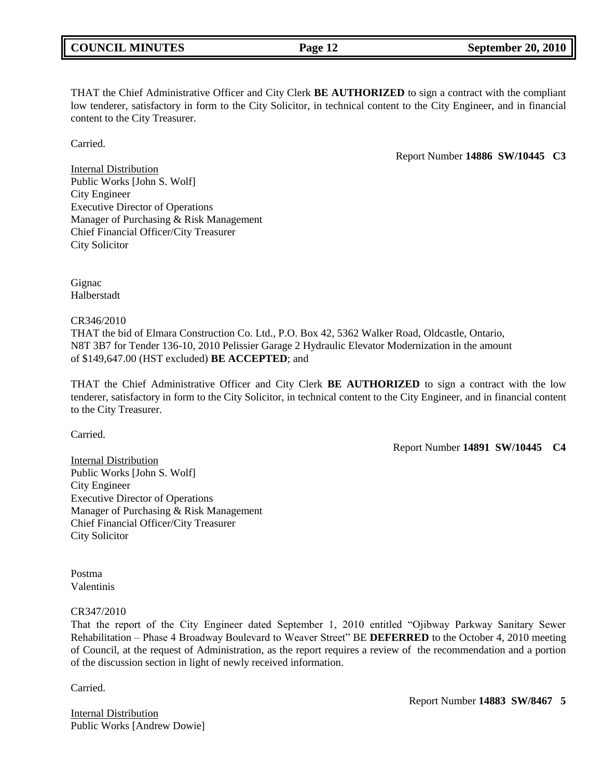THAT the Chief Administrative Officer and City Clerk **BE AUTHORIZED** to sign a contract with the compliant low tenderer, satisfactory in form to the City Solicitor, in technical content to the City Engineer, and in financial content to the City Treasurer.

**Carried** 

Report Number **14886 SW/10445 C3**

Internal Distribution Public Works [John S. Wolf] City Engineer Executive Director of Operations Manager of Purchasing & Risk Management Chief Financial Officer/City Treasurer City Solicitor

Gignac Halberstadt

CR346/2010

THAT the bid of Elmara Construction Co. Ltd., P.O. Box 42, 5362 Walker Road, Oldcastle, Ontario, N8T 3B7 for Tender 136-10, 2010 Pelissier Garage 2 Hydraulic Elevator Modernization in the amount of \$149,647.00 (HST excluded) **BE ACCEPTED**; and

THAT the Chief Administrative Officer and City Clerk **BE AUTHORIZED** to sign a contract with the low tenderer, satisfactory in form to the City Solicitor, in technical content to the City Engineer, and in financial content to the City Treasurer.

Carried.

Report Number **14891 SW/10445 C4**

Internal Distribution Public Works [John S. Wolf] City Engineer Executive Director of Operations Manager of Purchasing & Risk Management Chief Financial Officer/City Treasurer City Solicitor

Postma Valentinis

CR347/2010

That the report of the City Engineer dated September 1, 2010 entitled "Ojibway Parkway Sanitary Sewer Rehabilitation – Phase 4 Broadway Boulevard to Weaver Street" BE **DEFERRED** to the October 4, 2010 meeting of Council, at the request of Administration, as the report requires a review of the recommendation and a portion of the discussion section in light of newly received information.

Carried.

Internal Distribution Public Works [Andrew Dowie] Report Number **14883 SW/8467 5**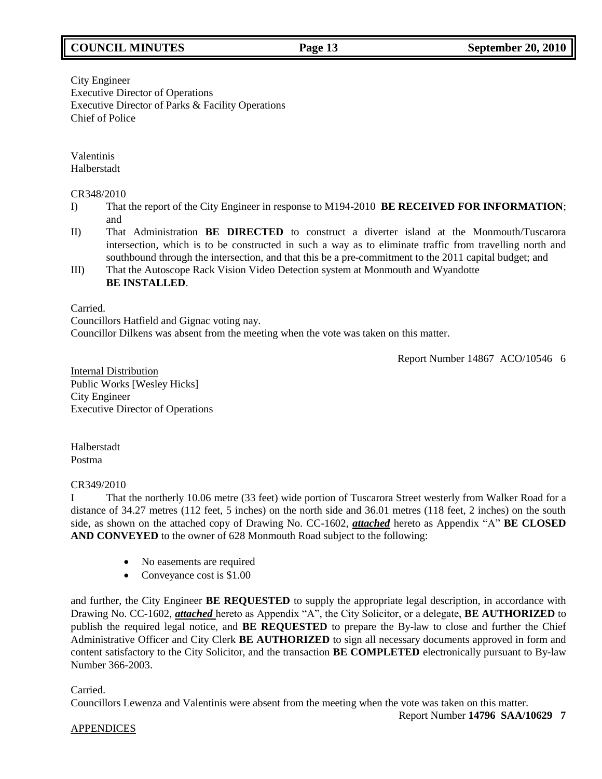# **COUNCIL MINUTES Page 13 September 20, 2010**

City Engineer Executive Director of Operations Executive Director of Parks & Facility Operations Chief of Police

Valentinis Halberstadt

### CR348/2010

- I) That the report of the City Engineer in response to M194-2010 **BE RECEIVED FOR INFORMATION**; and
- II) That Administration **BE DIRECTED** to construct a diverter island at the Monmouth/Tuscarora intersection, which is to be constructed in such a way as to eliminate traffic from travelling north and southbound through the intersection, and that this be a pre-commitment to the 2011 capital budget; and
- III) That the Autoscope Rack Vision Video Detection system at Monmouth and Wyandotte **BE INSTALLED**.

Carried.

Councillors Hatfield and Gignac voting nay. Councillor Dilkens was absent from the meeting when the vote was taken on this matter.

Report Number 14867 ACO/10546 6

Internal Distribution Public Works [Wesley Hicks] City Engineer Executive Director of Operations

Halberstadt Postma

#### CR349/2010

I That the northerly 10.06 metre (33 feet) wide portion of Tuscarora Street westerly from Walker Road for a distance of 34.27 metres (112 feet, 5 inches) on the north side and 36.01 metres (118 feet, 2 inches) on the south side, as shown on the attached copy of Drawing No. CC-1602, *attached* hereto as Appendix "A" **BE CLOSED AND CONVEYED** to the owner of 628 Monmouth Road subject to the following:

- No easements are required
- Conveyance cost is \$1.00

and further, the City Engineer **BE REQUESTED** to supply the appropriate legal description, in accordance with Drawing No. CC-1602, *attached* hereto as Appendix "A", the City Solicitor, or a delegate, **BE AUTHORIZED** to publish the required legal notice, and **BE REQUESTED** to prepare the By-law to close and further the Chief Administrative Officer and City Clerk **BE AUTHORIZED** to sign all necessary documents approved in form and content satisfactory to the City Solicitor, and the transaction **BE COMPLETED** electronically pursuant to By-law Number 366-2003.

# Carried.

Councillors Lewenza and Valentinis were absent from the meeting when the vote was taken on this matter.

# APPENDICES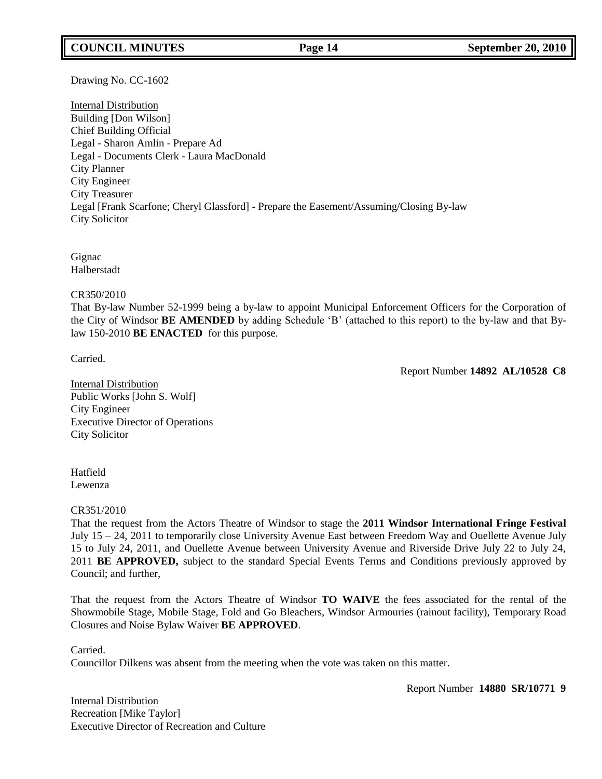# **COUNCIL MINUTES Page 14 September 20, 2010**

Drawing No. CC-1602

Internal Distribution Building [Don Wilson] Chief Building Official Legal - Sharon Amlin - Prepare Ad Legal - Documents Clerk - Laura MacDonald City Planner City Engineer City Treasurer Legal [Frank Scarfone; Cheryl Glassford] - Prepare the Easement/Assuming/Closing By-law City Solicitor

Gignac Halberstadt

CR350/2010

That By-law Number 52-1999 being a by-law to appoint Municipal Enforcement Officers for the Corporation of the City of Windsor **BE AMENDED** by adding Schedule 'B' (attached to this report) to the by-law and that Bylaw 150-2010 **BE ENACTED** for this purpose.

Carried.

Report Number **14892 AL/10528 C8**

Internal Distribution Public Works [John S. Wolf] City Engineer Executive Director of Operations City Solicitor

Hatfield Lewenza

#### CR351/2010

That the request from the Actors Theatre of Windsor to stage the **2011 Windsor International Fringe Festival** July 15 – 24, 2011 to temporarily close University Avenue East between Freedom Way and Ouellette Avenue July 15 to July 24, 2011, and Ouellette Avenue between University Avenue and Riverside Drive July 22 to July 24, 2011 **BE APPROVED,** subject to the standard Special Events Terms and Conditions previously approved by Council; and further,

That the request from the Actors Theatre of Windsor **TO WAIVE** the fees associated for the rental of the Showmobile Stage, Mobile Stage, Fold and Go Bleachers, Windsor Armouries (rainout facility), Temporary Road Closures and Noise Bylaw Waiver **BE APPROVED**.

Carried.

Councillor Dilkens was absent from the meeting when the vote was taken on this matter.

Report Number **14880 SR/10771 9**

Internal Distribution Recreation [Mike Taylor] Executive Director of Recreation and Culture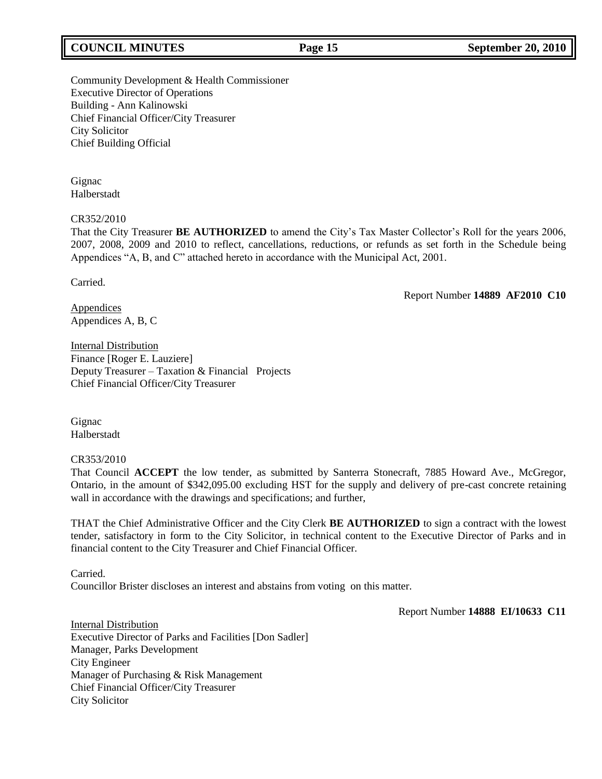# **COUNCIL MINUTES Page 15 September 20, 2010**

Community Development & Health Commissioner Executive Director of Operations Building - Ann Kalinowski Chief Financial Officer/City Treasurer City Solicitor Chief Building Official

Gignac Halberstadt

#### CR352/2010

That the City Treasurer **BE AUTHORIZED** to amend the City's Tax Master Collector's Roll for the years 2006, 2007, 2008, 2009 and 2010 to reflect, cancellations, reductions, or refunds as set forth in the Schedule being Appendices "A, B, and C" attached hereto in accordance with the Municipal Act, 2001.

Carried.

Report Number **14889 AF2010 C10**

Appendices Appendices A, B, C

Internal Distribution Finance [Roger E. Lauziere] Deputy Treasurer – Taxation & Financial Projects Chief Financial Officer/City Treasurer

Gignac Halberstadt

CR353/2010

That Council **ACCEPT** the low tender, as submitted by Santerra Stonecraft, 7885 Howard Ave., McGregor, Ontario, in the amount of \$342,095.00 excluding HST for the supply and delivery of pre-cast concrete retaining wall in accordance with the drawings and specifications; and further,

THAT the Chief Administrative Officer and the City Clerk **BE AUTHORIZED** to sign a contract with the lowest tender, satisfactory in form to the City Solicitor, in technical content to the Executive Director of Parks and in financial content to the City Treasurer and Chief Financial Officer.

Carried. Councillor Brister discloses an interest and abstains from voting on this matter.

Report Number **14888 EI/10633 C11**

Internal Distribution Executive Director of Parks and Facilities [Don Sadler] Manager, Parks Development City Engineer Manager of Purchasing & Risk Management Chief Financial Officer/City Treasurer City Solicitor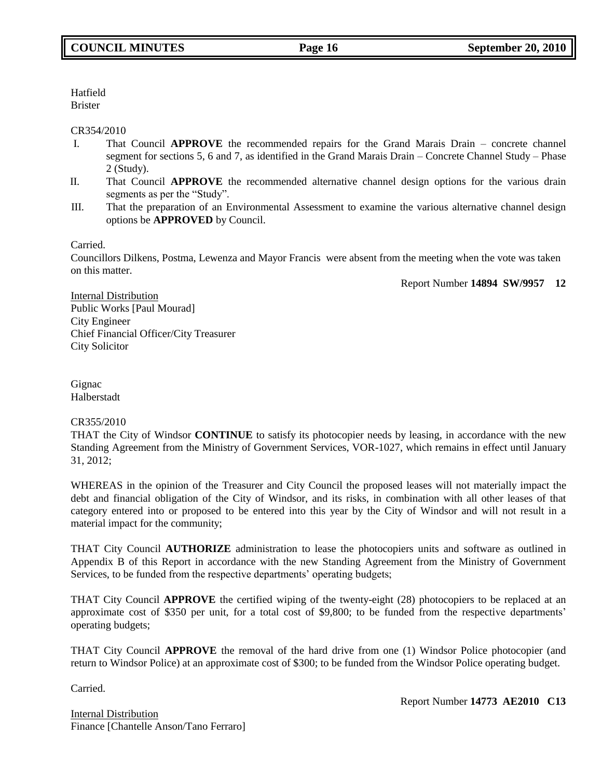Hatfield Brister

### CR354/2010

- I. That Council **APPROVE** the recommended repairs for the Grand Marais Drain concrete channel segment for sections 5, 6 and 7, as identified in the Grand Marais Drain – Concrete Channel Study – Phase 2 (Study).
- II. That Council **APPROVE** the recommended alternative channel design options for the various drain segments as per the "Study".
- III. That the preparation of an Environmental Assessment to examine the various alternative channel design options be **APPROVED** by Council.

Carried.

Councillors Dilkens, Postma, Lewenza and Mayor Francis were absent from the meeting when the vote was taken on this matter.

Report Number **14894 SW/9957 12**

Internal Distribution Public Works [Paul Mourad] City Engineer Chief Financial Officer/City Treasurer City Solicitor

Gignac Halberstadt

# CR355/2010

THAT the City of Windsor **CONTINUE** to satisfy its photocopier needs by leasing, in accordance with the new Standing Agreement from the Ministry of Government Services, VOR-1027, which remains in effect until January 31, 2012;

WHEREAS in the opinion of the Treasurer and City Council the proposed leases will not materially impact the debt and financial obligation of the City of Windsor, and its risks, in combination with all other leases of that category entered into or proposed to be entered into this year by the City of Windsor and will not result in a material impact for the community;

THAT City Council **AUTHORIZE** administration to lease the photocopiers units and software as outlined in Appendix B of this Report in accordance with the new Standing Agreement from the Ministry of Government Services, to be funded from the respective departments' operating budgets;

THAT City Council **APPROVE** the certified wiping of the twenty-eight (28) photocopiers to be replaced at an approximate cost of \$350 per unit, for a total cost of \$9,800; to be funded from the respective departments' operating budgets;

THAT City Council **APPROVE** the removal of the hard drive from one (1) Windsor Police photocopier (and return to Windsor Police) at an approximate cost of \$300; to be funded from the Windsor Police operating budget.

Carried.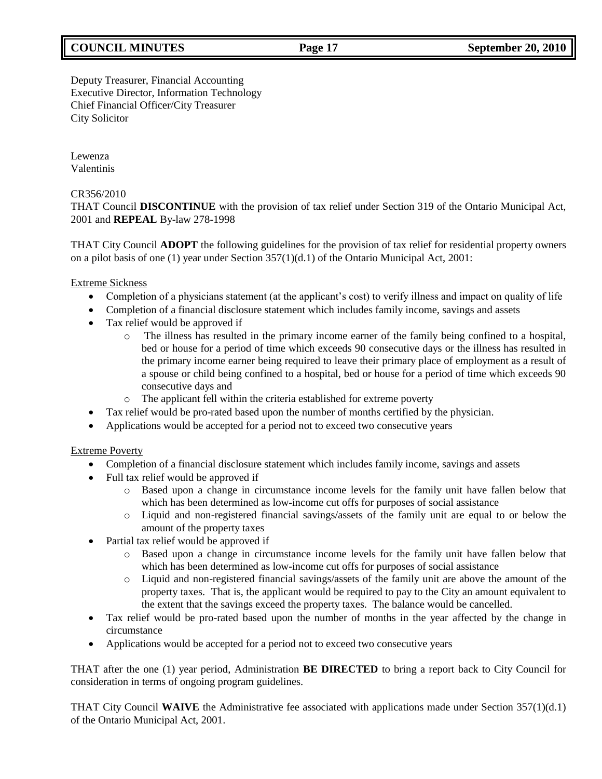# **COUNCIL MINUTES Page 17 September 20, 2010**

Deputy Treasurer, Financial Accounting Executive Director, Information Technology Chief Financial Officer/City Treasurer City Solicitor

Lewenza Valentinis

# CR356/2010

THAT Council **DISCONTINUE** with the provision of tax relief under Section 319 of the Ontario Municipal Act, 2001 and **REPEAL** By-law 278-1998

THAT City Council **ADOPT** the following guidelines for the provision of tax relief for residential property owners on a pilot basis of one (1) year under Section 357(1)(d.1) of the Ontario Municipal Act, 2001:

Extreme Sickness

- Completion of a physicians statement (at the applicant's cost) to verify illness and impact on quality of life
- Completion of a financial disclosure statement which includes family income, savings and assets
- Tax relief would be approved if
	- o The illness has resulted in the primary income earner of the family being confined to a hospital, bed or house for a period of time which exceeds 90 consecutive days or the illness has resulted in the primary income earner being required to leave their primary place of employment as a result of a spouse or child being confined to a hospital, bed or house for a period of time which exceeds 90 consecutive days and
	- o The applicant fell within the criteria established for extreme poverty
- Tax relief would be pro-rated based upon the number of months certified by the physician.
- Applications would be accepted for a period not to exceed two consecutive years

Extreme Poverty

- Completion of a financial disclosure statement which includes family income, savings and assets
- Full tax relief would be approved if
	- o Based upon a change in circumstance income levels for the family unit have fallen below that which has been determined as low-income cut offs for purposes of social assistance
	- o Liquid and non-registered financial savings/assets of the family unit are equal to or below the amount of the property taxes
- Partial tax relief would be approved if
	- o Based upon a change in circumstance income levels for the family unit have fallen below that which has been determined as low-income cut offs for purposes of social assistance
	- o Liquid and non-registered financial savings/assets of the family unit are above the amount of the property taxes. That is, the applicant would be required to pay to the City an amount equivalent to the extent that the savings exceed the property taxes. The balance would be cancelled.
- Tax relief would be pro-rated based upon the number of months in the year affected by the change in circumstance
- Applications would be accepted for a period not to exceed two consecutive years

THAT after the one (1) year period, Administration **BE DIRECTED** to bring a report back to City Council for consideration in terms of ongoing program guidelines.

THAT City Council **WAIVE** the Administrative fee associated with applications made under Section 357(1)(d.1) of the Ontario Municipal Act, 2001.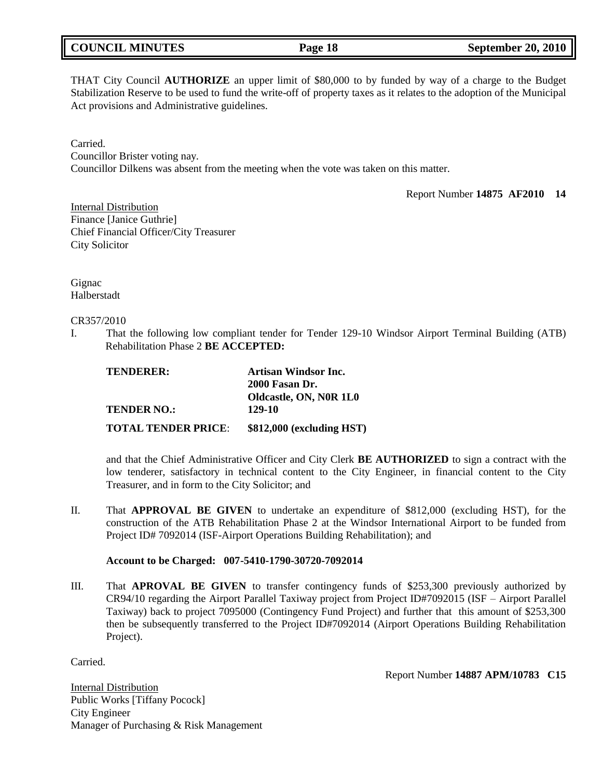THAT City Council **AUTHORIZE** an upper limit of \$80,000 to by funded by way of a charge to the Budget Stabilization Reserve to be used to fund the write-off of property taxes as it relates to the adoption of the Municipal Act provisions and Administrative guidelines.

Carried. Councillor Brister voting nay. Councillor Dilkens was absent from the meeting when the vote was taken on this matter.

Report Number **14875 AF2010 14**

Internal Distribution Finance [Janice Guthrie] Chief Financial Officer/City Treasurer City Solicitor

Gignac Halberstadt

CR357/2010

I. That the following low compliant tender for Tender 129-10 Windsor Airport Terminal Building (ATB) Rehabilitation Phase 2 **BE ACCEPTED:**

| <b>TENDERER:</b>           | <b>Artisan Windsor Inc.</b> |
|----------------------------|-----------------------------|
|                            | <b>2000 Fasan Dr.</b>       |
|                            | Oldcastle, ON, N0R 1L0      |
| <b>TENDER NO.:</b>         | 129-10                      |
| <b>TOTAL TENDER PRICE:</b> | \$812,000 (excluding HST)   |

and that the Chief Administrative Officer and City Clerk **BE AUTHORIZED** to sign a contract with the low tenderer, satisfactory in technical content to the City Engineer, in financial content to the City Treasurer, and in form to the City Solicitor; and

II. That **APPROVAL BE GIVEN** to undertake an expenditure of \$812,000 (excluding HST), for the construction of the ATB Rehabilitation Phase 2 at the Windsor International Airport to be funded from Project ID# 7092014 (ISF-Airport Operations Building Rehabilitation); and

# **Account to be Charged: 007-5410-1790-30720-7092014**

III. That **APROVAL BE GIVEN** to transfer contingency funds of \$253,300 previously authorized by CR94/10 regarding the Airport Parallel Taxiway project from Project ID#7092015 (ISF – Airport Parallel Taxiway) back to project 7095000 (Contingency Fund Project) and further that this amount of \$253,300 then be subsequently transferred to the Project ID#7092014 (Airport Operations Building Rehabilitation Project).

Carried.

Report Number **14887 APM/10783 C15**

Internal Distribution Public Works [Tiffany Pocock] City Engineer Manager of Purchasing & Risk Management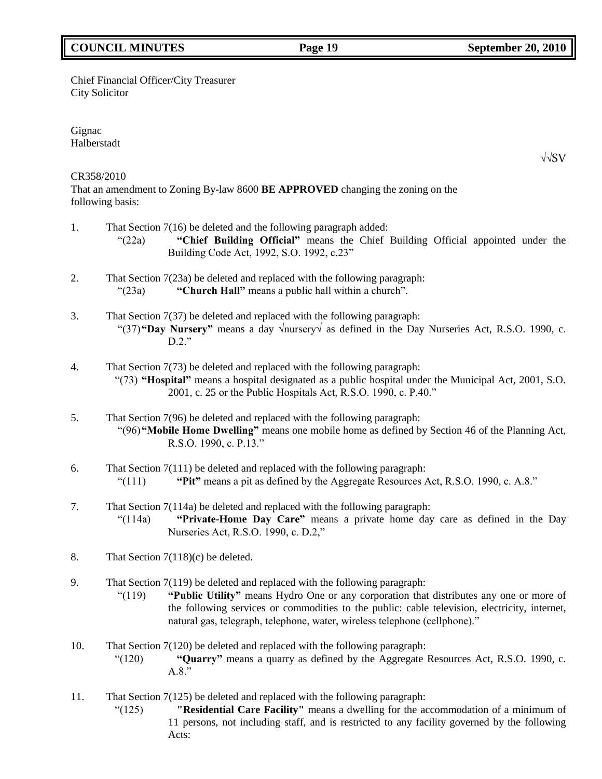# **COUNCIL MINUTES Page 19 September 20, 2010**

# Chief Financial Officer/City Treasurer City Solicitor

Gignac Halberstadt

# CR358/2010

That an amendment to Zoning By-law 8600 **BE APPROVED** changing the zoning on the following basis:

- 1. That Section 7(16) be deleted and the following paragraph added:
	- "(22a) **"Chief Building Official"** means the Chief Building Official appointed under the Building Code Act, 1992, S.O. 1992, c.23"
- 2. That Section 7(23a) be deleted and replaced with the following paragraph: "(23a) **"Church Hall"** means a public hall within a church".
- 3. That Section 7(37) be deleted and replaced with the following paragraph: "(37)**"Day Nursery"** means a day √nursery√ as defined in the Day Nurseries Act, R.S.O. 1990, c.  $D.2$ ."
- 4. That Section 7(73) be deleted and replaced with the following paragraph: "(73) **"Hospital"** means a hospital designated as a public hospital under the Municipal Act, 2001, S.O. 2001, c. 25 or the Public Hospitals Act, R.S.O. 1990, c. P.40."
- 5. That Section 7(96) be deleted and replaced with the following paragraph: "(96)**"Mobile Home Dwelling"** means one mobile home as defined by Section 46 of the Planning Act, R.S.O. 1990, c. P.13."
- 6. That Section 7(111) be deleted and replaced with the following paragraph: "(111) **"Pit"** means a pit as defined by the Aggregate Resources Act, R.S.O. 1990, c. A.8."
- 7. That Section 7(114a) be deleted and replaced with the following paragraph: "(114a) **"Private-Home Day Care"** means a private home day care as defined in the Day Nurseries Act, R.S.O. 1990, c. D.2,"
- 8. That Section 7(118)(c) be deleted.
- 9. That Section 7(119) be deleted and replaced with the following paragraph:
	- "(119) **"Public Utility"** means Hydro One or any corporation that distributes any one or more of the following services or commodities to the public: cable television, electricity, internet, natural gas, telegraph, telephone, water, wireless telephone (cellphone)."
- 10. That Section 7(120) be deleted and replaced with the following paragraph:
	- "(120) **"Quarry"** means a quarry as defined by the Aggregate Resources Act, R.S.O. 1990, c. A.8."
- 11. That Section 7(125) be deleted and replaced with the following paragraph:
	- "(125) **"Residential Care Facility"** means a dwelling for the accommodation of a minimum of 11 persons, not including staff, and is restricted to any facility governed by the following Acts:

√√SV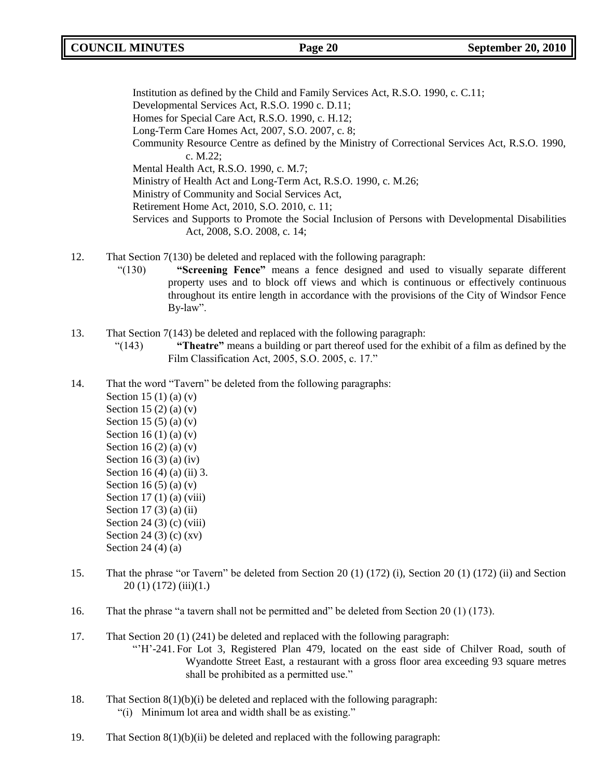Institution as defined by the Child and Family Services Act, R.S.O. 1990, c. C.11; Developmental Services Act, R.S.O. 1990 c. D.11; Homes for Special Care Act, R.S.O. 1990, c. H.12; Long-Term Care Homes Act, 2007, S.O. 2007, c. 8; Community Resource Centre as defined by the Ministry of Correctional Services Act, R.S.O. 1990, c. M.22; Mental Health Act, R.S.O. 1990, c. M.7; Ministry of Health Act and Long-Term Act, R.S.O. 1990, c. M.26; Ministry of Community and Social Services Act, Retirement Home Act, 2010, S.O. 2010, c. 11; Services and Supports to Promote the Social Inclusion of Persons with Developmental Disabilities Act, 2008, S.O. 2008, c. 14;

- 12. That Section 7(130) be deleted and replaced with the following paragraph:
	- "(130) **"Screening Fence"** means a fence designed and used to visually separate different property uses and to block off views and which is continuous or effectively continuous throughout its entire length in accordance with the provisions of the City of Windsor Fence By-law".
- 13. That Section 7(143) be deleted and replaced with the following paragraph:
	- "(143) **"Theatre"** means a building or part thereof used for the exhibit of a film as defined by the Film Classification Act, 2005, S.O. 2005, c. 17."
- 14. That the word "Tavern" be deleted from the following paragraphs:
	- Section 15 (1) (a) (v) Section 15 (2) (a)  $(v)$ Section 15 (5) (a) (v) Section 16 (1) (a) (v) Section 16  $(2)$   $(a)$   $(v)$ Section 16 $(3)$  $(a)$  $(iv)$ Section 16 (4) (a) (ii) 3. Section 16  $(5)$  (a) (v) Section  $17(1)(a)$  (viii) Section 17 $(3)$  $(a)$  $(ii)$ Section 24 (3) (c) (viii) Section 24 (3) (c) (xv) Section 24 (4) (a)
- 15. That the phrase "or Tavern" be deleted from Section 20 (1) (172) (i), Section 20 (1) (172) (ii) and Section 20 (1) (172) (iii)(1.)
- 16. That the phrase "a tavern shall not be permitted and" be deleted from Section 20 (1) (173).
- 17. That Section 20 (1) (241) be deleted and replaced with the following paragraph:
	- "'H'-241. For Lot 3, Registered Plan 479, located on the east side of Chilver Road, south of Wyandotte Street East, a restaurant with a gross floor area exceeding 93 square metres shall be prohibited as a permitted use."
- 18. That Section 8(1)(b)(i) be deleted and replaced with the following paragraph: "(i) Minimum lot area and width shall be as existing."
- 19. That Section  $8(1)(b)(ii)$  be deleted and replaced with the following paragraph: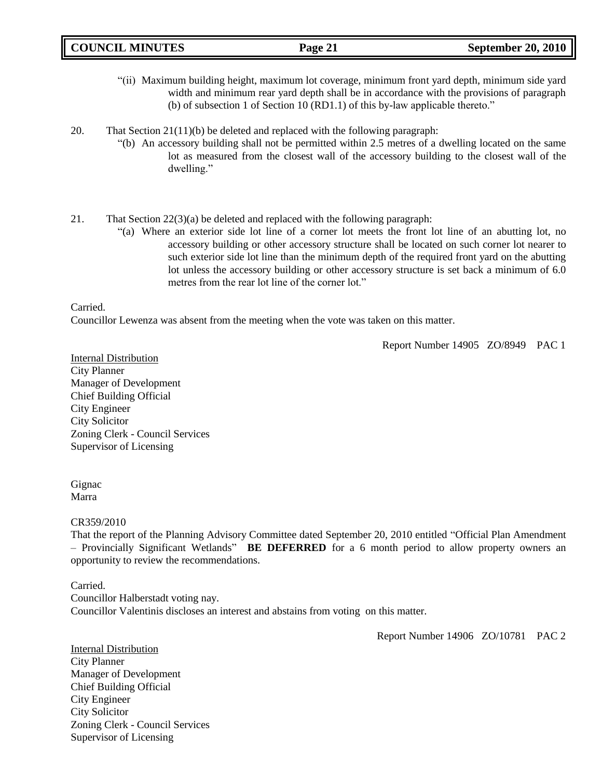| <b>COUNCIL MINUTES</b> | Page 21 | <b>September 20, 2010</b> |
|------------------------|---------|---------------------------|
|                        |         |                           |

- "(ii) Maximum building height, maximum lot coverage, minimum front yard depth, minimum side yard width and minimum rear yard depth shall be in accordance with the provisions of paragraph (b) of subsection 1 of Section 10 (RD1.1) of this by-law applicable thereto."
- 20. That Section  $21(11)(b)$  be deleted and replaced with the following paragraph:
	- "(b) An accessory building shall not be permitted within 2.5 metres of a dwelling located on the same lot as measured from the closest wall of the accessory building to the closest wall of the dwelling."
- 21. That Section 22(3)(a) be deleted and replaced with the following paragraph:
	- "(a) Where an exterior side lot line of a corner lot meets the front lot line of an abutting lot, no accessory building or other accessory structure shall be located on such corner lot nearer to such exterior side lot line than the minimum depth of the required front yard on the abutting lot unless the accessory building or other accessory structure is set back a minimum of 6.0 metres from the rear lot line of the corner lot."

Carried.

Councillor Lewenza was absent from the meeting when the vote was taken on this matter.

Report Number 14905 ZO/8949 PAC 1

Internal Distribution City Planner Manager of Development Chief Building Official City Engineer City Solicitor Zoning Clerk - Council Services Supervisor of Licensing

Gignac Marra

# CR359/2010

That the report of the Planning Advisory Committee dated September 20, 2010 entitled "Official Plan Amendment – Provincially Significant Wetlands" **BE DEFERRED** for a 6 month period to allow property owners an opportunity to review the recommendations.

# Carried.

Councillor Halberstadt voting nay. Councillor Valentinis discloses an interest and abstains from voting on this matter.

Report Number 14906 ZO/10781 PAC 2

Internal Distribution City Planner Manager of Development Chief Building Official City Engineer City Solicitor Zoning Clerk - Council Services Supervisor of Licensing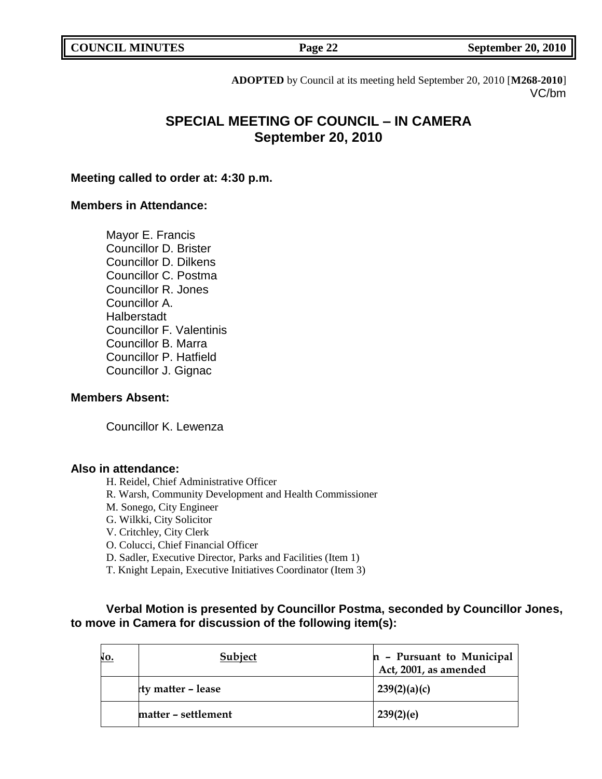**COUNCIL MINUTES COUNCIL SEPTEMBER 20, 2010** 

**ADOPTED** by Council at its meeting held September 20, 2010 [**M268-2010**] VC/bm

# **SPECIAL MEETING OF COUNCIL – IN CAMERA September 20, 2010**

# **Meeting called to order at: 4:30 p.m.**

# **Members in Attendance:**

Mayor E. Francis Councillor D. Brister Councillor D. Dilkens Councillor C. Postma Councillor R. Jones Councillor A. Halberstadt Councillor F. Valentinis Councillor B. Marra Councillor P. Hatfield Councillor J. Gignac

# **Members Absent:**

Councillor K. Lewenza

# **Also in attendance:**

H. Reidel, Chief Administrative Officer

- R. Warsh, Community Development and Health Commissioner
- M. Sonego, City Engineer
- G. Wilkki, City Solicitor

V. Critchley, City Clerk

O. Colucci, Chief Financial Officer

D. Sadler, Executive Director, Parks and Facilities (Item 1)

T. Knight Lepain, Executive Initiatives Coordinator (Item 3)

# **Verbal Motion is presented by Councillor Postma, seconded by Councillor Jones, to move in Camera for discussion of the following item(s):**

| NO. | <b>Subject</b>      | n - Pursuant to Municipal<br>Act, 2001, as amended |
|-----|---------------------|----------------------------------------------------|
|     | rty matter – lease  | 239(2)(a)(c)                                       |
|     | matter – settlement | 239(2)(e)                                          |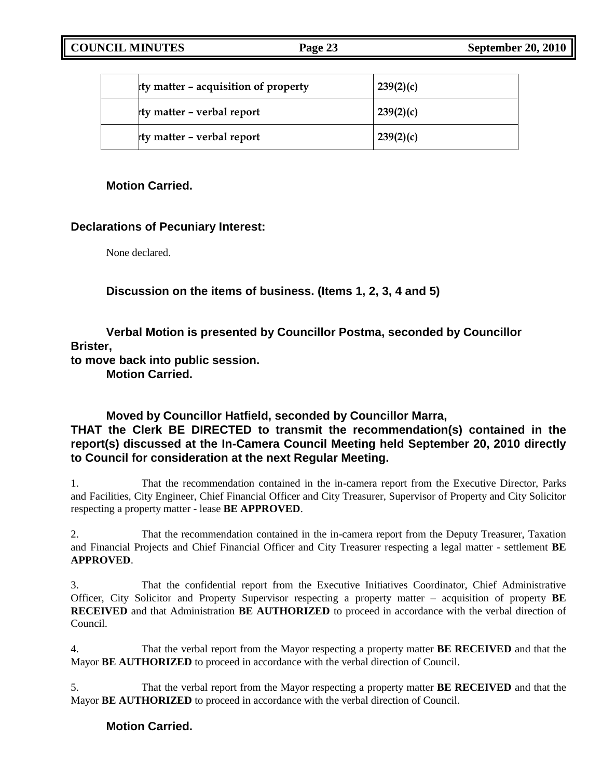| rty matter - acquisition of property | 239(2)(c) |
|--------------------------------------|-----------|
| rty matter - verbal report           | 239(2)(c) |
| rty matter - verbal report           | 239(2)(c) |

# **Motion Carried.**

# **Declarations of Pecuniary Interest:**

None declared.

**Discussion on the items of business. (Items 1, 2, 3, 4 and 5)**

**Verbal Motion is presented by Councillor Postma, seconded by Councillor Brister,**

**to move back into public session.**

**Motion Carried.**

# **Moved by Councillor Hatfield, seconded by Councillor Marra,**

# **THAT the Clerk BE DIRECTED to transmit the recommendation(s) contained in the report(s) discussed at the In-Camera Council Meeting held September 20, 2010 directly to Council for consideration at the next Regular Meeting.**

1. That the recommendation contained in the in-camera report from the Executive Director, Parks and Facilities, City Engineer, Chief Financial Officer and City Treasurer, Supervisor of Property and City Solicitor respecting a property matter - lease **BE APPROVED**.

2. That the recommendation contained in the in-camera report from the Deputy Treasurer, Taxation and Financial Projects and Chief Financial Officer and City Treasurer respecting a legal matter - settlement **BE APPROVED**.

3. That the confidential report from the Executive Initiatives Coordinator, Chief Administrative Officer, City Solicitor and Property Supervisor respecting a property matter – acquisition of property **BE RECEIVED** and that Administration **BE AUTHORIZED** to proceed in accordance with the verbal direction of Council.

4. That the verbal report from the Mayor respecting a property matter **BE RECEIVED** and that the Mayor **BE AUTHORIZED** to proceed in accordance with the verbal direction of Council.

5. That the verbal report from the Mayor respecting a property matter **BE RECEIVED** and that the Mayor **BE AUTHORIZED** to proceed in accordance with the verbal direction of Council.

# **Motion Carried.**